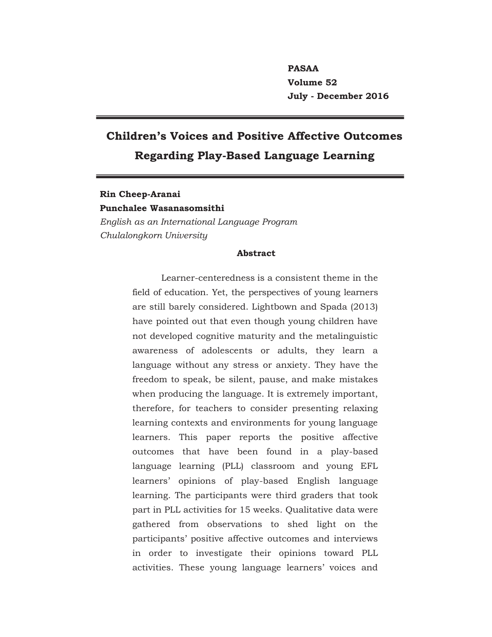**PASAA Volume 52 July - December 2016**

# **Children's Voices and Positive Affective Outcomes Regarding Play-Based Language Learning**

## **Rin Cheep-Aranai Punchalee Wasanasomsithi**  *English as an International Language Program Chulalongkorn University*

#### **Abstract**

Learner-centeredness is a consistent theme in the field of education. Yet, the perspectives of young learners are still barely considered. Lightbown and Spada (2013) have pointed out that even though young children have not developed cognitive maturity and the metalinguistic awareness of adolescents or adults, they learn a language without any stress or anxiety. They have the freedom to speak, be silent, pause, and make mistakes when producing the language. It is extremely important, therefore, for teachers to consider presenting relaxing learning contexts and environments for young language learners. This paper reports the positive affective outcomes that have been found in a play-based language learning (PLL) classroom and young EFL learners' opinions of play-based English language learning. The participants were third graders that took part in PLL activities for 15 weeks. Qualitative data were gathered from observations to shed light on the participants' positive affective outcomes and interviews in order to investigate their opinions toward PLL activities. These young language learners' voices and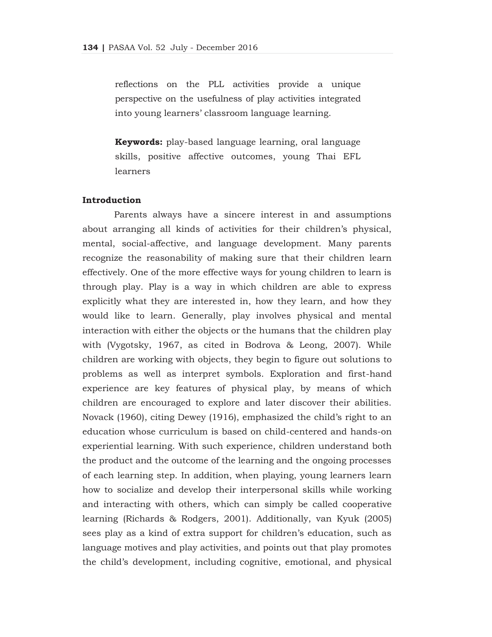reflections on the PLL activities provide a unique perspective on the usefulness of play activities integrated into young learners' classroom language learning.

**Keywords:** play-based language learning, oral language skills, positive affective outcomes, young Thai EFL learners

## **Introduction**

 Parents always have a sincere interest in and assumptions about arranging all kinds of activities for their children's physical, mental, social-affective, and language development. Many parents recognize the reasonability of making sure that their children learn effectively. One of the more effective ways for young children to learn is through play. Play is a way in which children are able to express explicitly what they are interested in, how they learn, and how they would like to learn. Generally, play involves physical and mental interaction with either the objects or the humans that the children play with (Vygotsky, 1967, as cited in Bodrova & Leong, 2007). While children are working with objects, they begin to figure out solutions to problems as well as interpret symbols. Exploration and first-hand experience are key features of physical play, by means of which children are encouraged to explore and later discover their abilities. Novack (1960), citing Dewey (1916), emphasized the child's right to an education whose curriculum is based on child-centered and hands-on experiential learning. With such experience, children understand both the product and the outcome of the learning and the ongoing processes of each learning step. In addition, when playing, young learners learn how to socialize and develop their interpersonal skills while working and interacting with others, which can simply be called cooperative learning (Richards & Rodgers, 2001). Additionally, van Kyuk (2005) sees play as a kind of extra support for children's education, such as language motives and play activities, and points out that play promotes the child's development, including cognitive, emotional, and physical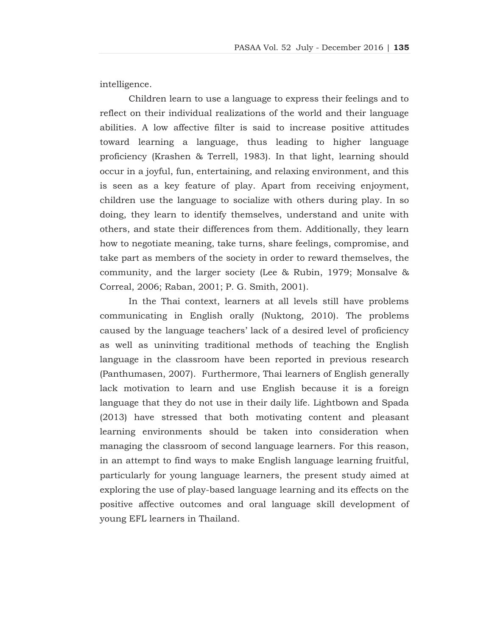intelligence.

 Children learn to use a language to express their feelings and to reflect on their individual realizations of the world and their language abilities. A low affective filter is said to increase positive attitudes toward learning a language, thus leading to higher language proficiency (Krashen & Terrell, 1983). In that light, learning should occur in a joyful, fun, entertaining, and relaxing environment, and this is seen as a key feature of play. Apart from receiving enjoyment, children use the language to socialize with others during play. In so doing, they learn to identify themselves, understand and unite with others, and state their differences from them. Additionally, they learn how to negotiate meaning, take turns, share feelings, compromise, and take part as members of the society in order to reward themselves, the community, and the larger society (Lee & Rubin, 1979; Monsalve & Correal, 2006; Raban, 2001; P. G. Smith, 2001).

 In the Thai context, learners at all levels still have problems communicating in English orally (Nuktong, 2010). The problems caused by the language teachers' lack of a desired level of proficiency as well as uninviting traditional methods of teaching the English language in the classroom have been reported in previous research (Panthumasen, 2007). Furthermore, Thai learners of English generally lack motivation to learn and use English because it is a foreign language that they do not use in their daily life. Lightbown and Spada (2013) have stressed that both motivating content and pleasant learning environments should be taken into consideration when managing the classroom of second language learners. For this reason, in an attempt to find ways to make English language learning fruitful, particularly for young language learners, the present study aimed at exploring the use of play-based language learning and its effects on the positive affective outcomes and oral language skill development of young EFL learners in Thailand.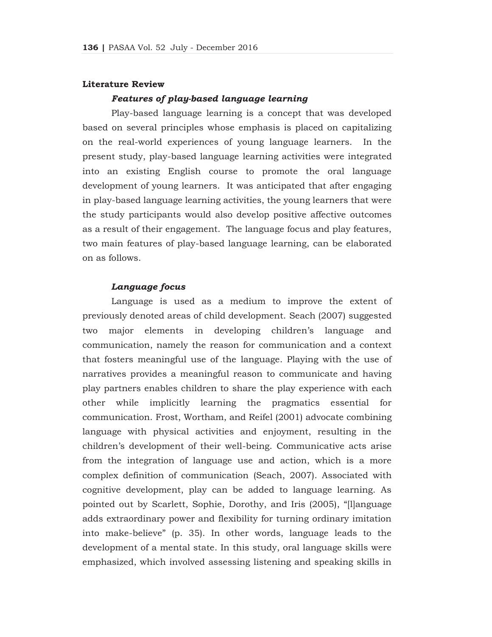#### **Literature Review**

#### *Features of play-based language learning*

 Play-based language learning is a concept that was developed based on several principles whose emphasis is placed on capitalizing on the real-world experiences of young language learners. In the present study, play-based language learning activities were integrated into an existing English course to promote the oral language development of young learners. It was anticipated that after engaging in play-based language learning activities, the young learners that were the study participants would also develop positive affective outcomes as a result of their engagement. The language focus and play features, two main features of play-based language learning, can be elaborated on as follows.

## *Language focus*

 Language is used as a medium to improve the extent of previously denoted areas of child development. Seach (2007) suggested two major elements in developing children's language and communication, namely the reason for communication and a context that fosters meaningful use of the language. Playing with the use of narratives provides a meaningful reason to communicate and having play partners enables children to share the play experience with each other while implicitly learning the pragmatics essential for communication. Frost, Wortham, and Reifel (2001) advocate combining language with physical activities and enjoyment, resulting in the children's development of their well-being. Communicative acts arise from the integration of language use and action, which is a more complex definition of communication (Seach, 2007). Associated with cognitive development, play can be added to language learning. As pointed out by Scarlett, Sophie, Dorothy, and Iris (2005), "[l]anguage adds extraordinary power and flexibility for turning ordinary imitation into make-believe" (p. 35). In other words, language leads to the development of a mental state. In this study, oral language skills were emphasized, which involved assessing listening and speaking skills in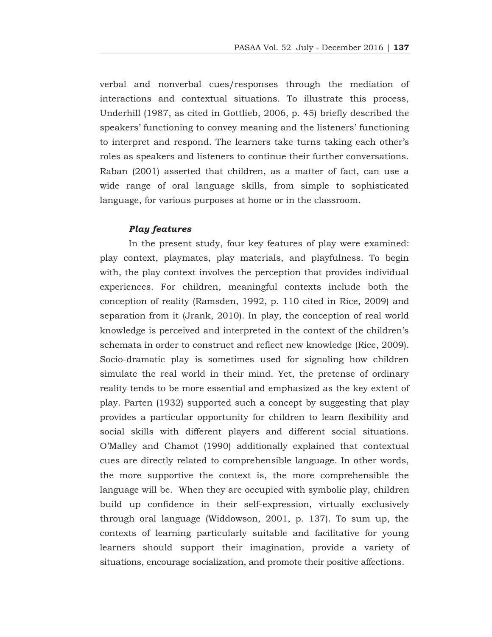verbal and nonverbal cues/responses through the mediation of interactions and contextual situations. To illustrate this process, Underhill (1987, as cited in Gottlieb, 2006, p. 45) briefly described the speakers' functioning to convey meaning and the listeners' functioning to interpret and respond. The learners take turns taking each other's roles as speakers and listeners to continue their further conversations. Raban (2001) asserted that children, as a matter of fact, can use a wide range of oral language skills, from simple to sophisticated language, for various purposes at home or in the classroom.

#### *Play features*

 In the present study, four key features of play were examined: play context, playmates, play materials, and playfulness. To begin with, the play context involves the perception that provides individual experiences. For children, meaningful contexts include both the conception of reality (Ramsden, 1992, p. 110 cited in Rice, 2009) and separation from it (Jrank, 2010). In play, the conception of real world knowledge is perceived and interpreted in the context of the children's schemata in order to construct and reflect new knowledge (Rice, 2009). Socio-dramatic play is sometimes used for signaling how children simulate the real world in their mind. Yet, the pretense of ordinary reality tends to be more essential and emphasized as the key extent of play. Parten (1932) supported such a concept by suggesting that play provides a particular opportunity for children to learn flexibility and social skills with different players and different social situations. O'Malley and Chamot (1990) additionally explained that contextual cues are directly related to comprehensible language. In other words, the more supportive the context is, the more comprehensible the language will be. When they are occupied with symbolic play, children build up confidence in their self-expression, virtually exclusively through oral language (Widdowson, 2001, p. 137). To sum up, the contexts of learning particularly suitable and facilitative for young learners should support their imagination, provide a variety of situations, encourage socialization, and promote their positive affections.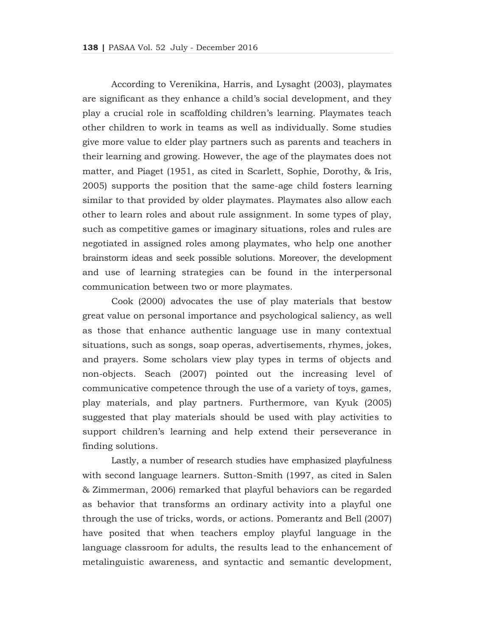According to Verenikina, Harris, and Lysaght (2003), playmates are significant as they enhance a child's social development, and they play a crucial role in scaffolding children's learning. Playmates teach other children to work in teams as well as individually. Some studies give more value to elder play partners such as parents and teachers in their learning and growing. However, the age of the playmates does not matter, and Piaget (1951, as cited in Scarlett, Sophie, Dorothy, & Iris, 2005) supports the position that the same-age child fosters learning similar to that provided by older playmates. Playmates also allow each other to learn roles and about rule assignment. In some types of play, such as competitive games or imaginary situations, roles and rules are negotiated in assigned roles among playmates, who help one another brainstorm ideas and seek possible solutions. Moreover, the development and use of learning strategies can be found in the interpersonal communication between two or more playmates.

 Cook (2000) advocates the use of play materials that bestow great value on personal importance and psychological saliency, as well as those that enhance authentic language use in many contextual situations, such as songs, soap operas, advertisements, rhymes, jokes, and prayers. Some scholars view play types in terms of objects and non-objects. Seach (2007) pointed out the increasing level of communicative competence through the use of a variety of toys, games, play materials, and play partners. Furthermore, van Kyuk (2005) suggested that play materials should be used with play activities to support children's learning and help extend their perseverance in finding solutions.

 Lastly, a number of research studies have emphasized playfulness with second language learners. Sutton-Smith (1997, as cited in Salen & Zimmerman, 2006) remarked that playful behaviors can be regarded as behavior that transforms an ordinary activity into a playful one through the use of tricks, words, or actions. Pomerantz and Bell (2007) have posited that when teachers employ playful language in the language classroom for adults, the results lead to the enhancement of metalinguistic awareness, and syntactic and semantic development,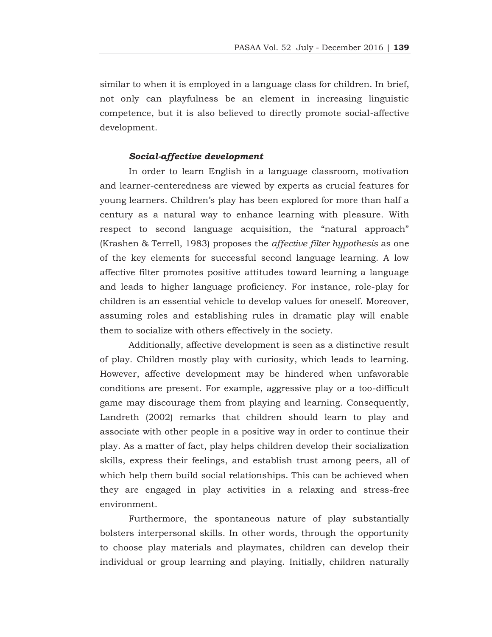similar to when it is employed in a language class for children. In brief, not only can playfulness be an element in increasing linguistic competence, but it is also believed to directly promote social-affective development.

#### *Social-affective development*

 In order to learn English in a language classroom, motivation and learner-centeredness are viewed by experts as crucial features for young learners. Children's play has been explored for more than half a century as a natural way to enhance learning with pleasure. With respect to second language acquisition, the "natural approach" (Krashen & Terrell, 1983) proposes the *affective filter hypothesis* as one of the key elements for successful second language learning. A low affective filter promotes positive attitudes toward learning a language and leads to higher language proficiency. For instance, role-play for children is an essential vehicle to develop values for oneself. Moreover, assuming roles and establishing rules in dramatic play will enable them to socialize with others effectively in the society.

 Additionally, affective development is seen as a distinctive result of play. Children mostly play with curiosity, which leads to learning. However, affective development may be hindered when unfavorable conditions are present. For example, aggressive play or a too-difficult game may discourage them from playing and learning. Consequently, Landreth (2002) remarks that children should learn to play and associate with other people in a positive way in order to continue their play. As a matter of fact, play helps children develop their socialization skills, express their feelings, and establish trust among peers, all of which help them build social relationships. This can be achieved when they are engaged in play activities in a relaxing and stress-free environment.

 Furthermore, the spontaneous nature of play substantially bolsters interpersonal skills. In other words, through the opportunity to choose play materials and playmates, children can develop their individual or group learning and playing. Initially, children naturally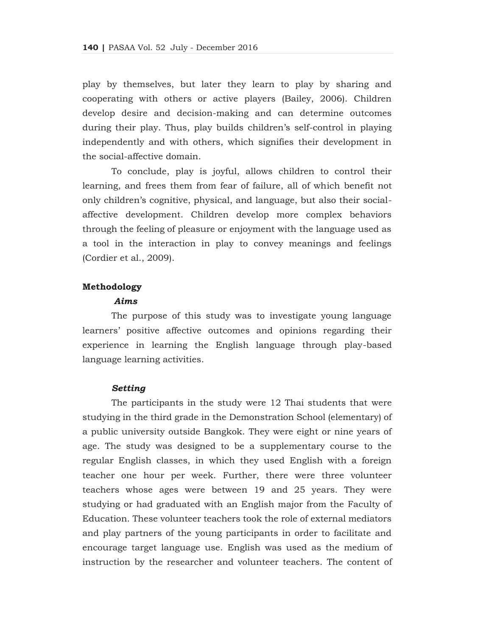play by themselves, but later they learn to play by sharing and cooperating with others or active players (Bailey, 2006). Children develop desire and decision-making and can determine outcomes during their play. Thus, play builds children's self-control in playing independently and with others, which signifies their development in the social-affective domain.

 To conclude, play is joyful, allows children to control their learning, and frees them from fear of failure, all of which benefit not only children's cognitive, physical, and language, but also their socialaffective development. Children develop more complex behaviors through the feeling of pleasure or enjoyment with the language used as a tool in the interaction in play to convey meanings and feelings (Cordier et al., 2009).

## **Methodology**

#### *Aims*

 The purpose of this study was to investigate young language learners' positive affective outcomes and opinions regarding their experience in learning the English language through play-based language learning activities.

#### *Setting*

 The participants in the study were 12 Thai students that were studying in the third grade in the Demonstration School (elementary) of a public university outside Bangkok. They were eight or nine years of age. The study was designed to be a supplementary course to the regular English classes, in which they used English with a foreign teacher one hour per week. Further, there were three volunteer teachers whose ages were between 19 and 25 years. They were studying or had graduated with an English major from the Faculty of Education. These volunteer teachers took the role of external mediators and play partners of the young participants in order to facilitate and encourage target language use. English was used as the medium of instruction by the researcher and volunteer teachers. The content of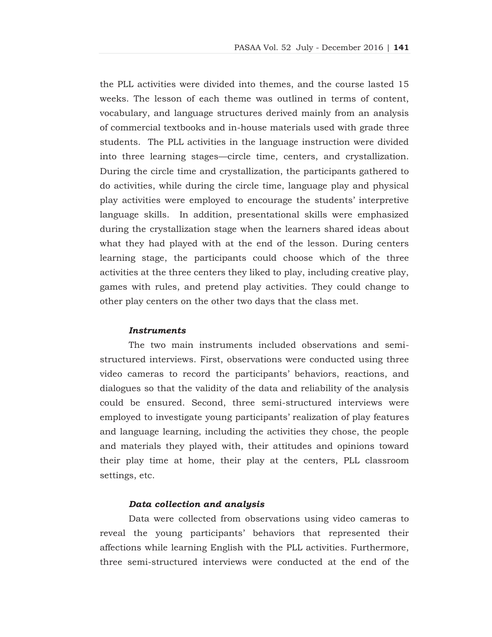the PLL activities were divided into themes, and the course lasted 15 weeks. The lesson of each theme was outlined in terms of content, vocabulary, and language structures derived mainly from an analysis of commercial textbooks and in-house materials used with grade three students. The PLL activities in the language instruction were divided into three learning stages—circle time, centers, and crystallization. During the circle time and crystallization, the participants gathered to do activities, while during the circle time, language play and physical play activities were employed to encourage the students' interpretive language skills. In addition, presentational skills were emphasized during the crystallization stage when the learners shared ideas about what they had played with at the end of the lesson. During centers learning stage, the participants could choose which of the three activities at the three centers they liked to play, including creative play, games with rules, and pretend play activities. They could change to other play centers on the other two days that the class met.

#### *Instruments*

 The two main instruments included observations and semistructured interviews. First, observations were conducted using three video cameras to record the participants' behaviors, reactions, and dialogues so that the validity of the data and reliability of the analysis could be ensured. Second, three semi-structured interviews were employed to investigate young participants' realization of play features and language learning, including the activities they chose, the people and materials they played with, their attitudes and opinions toward their play time at home, their play at the centers, PLL classroom settings, etc.

## *Data collection and analysis*

 Data were collected from observations using video cameras to reveal the young participants' behaviors that represented their affections while learning English with the PLL activities. Furthermore, three semi-structured interviews were conducted at the end of the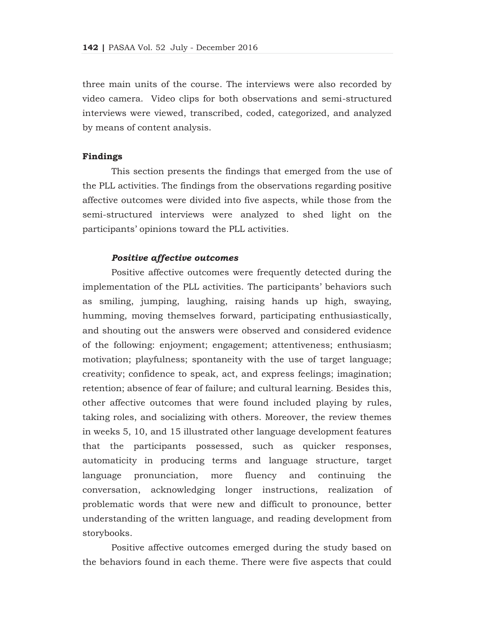three main units of the course. The interviews were also recorded by video camera. Video clips for both observations and semi-structured interviews were viewed, transcribed, coded, categorized, and analyzed by means of content analysis.

#### **Findings**

 This section presents the findings that emerged from the use of the PLL activities. The findings from the observations regarding positive affective outcomes were divided into five aspects, while those from the semi-structured interviews were analyzed to shed light on the participants' opinions toward the PLL activities.

#### *Positive affective outcomes*

 Positive affective outcomes were frequently detected during the implementation of the PLL activities. The participants' behaviors such as smiling, jumping, laughing, raising hands up high, swaying, humming, moving themselves forward, participating enthusiastically, and shouting out the answers were observed and considered evidence of the following: enjoyment; engagement; attentiveness; enthusiasm; motivation; playfulness; spontaneity with the use of target language; creativity; confidence to speak, act, and express feelings; imagination; retention; absence of fear of failure; and cultural learning. Besides this, other affective outcomes that were found included playing by rules, taking roles, and socializing with others. Moreover, the review themes in weeks 5, 10, and 15 illustrated other language development features that the participants possessed, such as quicker responses, automaticity in producing terms and language structure, target language pronunciation, more fluency and continuing the conversation, acknowledging longer instructions, realization of problematic words that were new and difficult to pronounce, better understanding of the written language, and reading development from storybooks.

 Positive affective outcomes emerged during the study based on the behaviors found in each theme. There were five aspects that could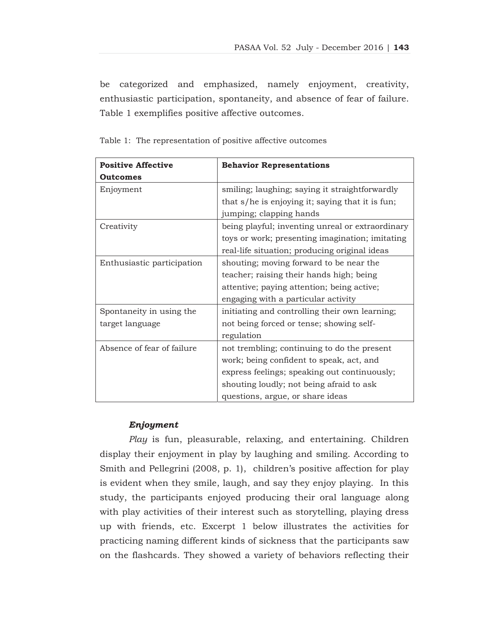be categorized and emphasized, namely enjoyment, creativity, enthusiastic participation, spontaneity, and absence of fear of failure. Table 1 exemplifies positive affective outcomes.

| <b>Positive Affective</b>  | <b>Behavior Representations</b>                  |
|----------------------------|--------------------------------------------------|
| <b>Outcomes</b>            |                                                  |
| Enjoyment                  | smiling; laughing; saying it straightforwardly   |
|                            | that s/he is enjoying it; saying that it is fun; |
|                            | jumping; clapping hands                          |
| Creativity                 | being playful; inventing unreal or extraordinary |
|                            | toys or work; presenting imagination; imitating  |
|                            | real-life situation; producing original ideas    |
| Enthusiastic participation | shouting; moving forward to be near the          |
|                            | teacher; raising their hands high; being         |
|                            | attentive; paying attention; being active;       |
|                            | engaging with a particular activity              |
| Spontaneity in using the   | initiating and controlling their own learning;   |
| target language            | not being forced or tense; showing self-         |
|                            | regulation                                       |
| Absence of fear of failure | not trembling; continuing to do the present      |
|                            | work; being confident to speak, act, and         |
|                            | express feelings; speaking out continuously;     |
|                            | shouting loudly; not being afraid to ask         |
|                            | questions, argue, or share ideas                 |

Table 1: The representation of positive affective outcomes

## *Enjoyment*

*Play* is fun, pleasurable, relaxing, and entertaining. Children display their enjoyment in play by laughing and smiling. According to Smith and Pellegrini (2008, p. 1), children's positive affection for play is evident when they smile, laugh, and say they enjoy playing. In this study, the participants enjoyed producing their oral language along with play activities of their interest such as storytelling, playing dress up with friends, etc. Excerpt 1 below illustrates the activities for practicing naming different kinds of sickness that the participants saw on the flashcards. They showed a variety of behaviors reflecting their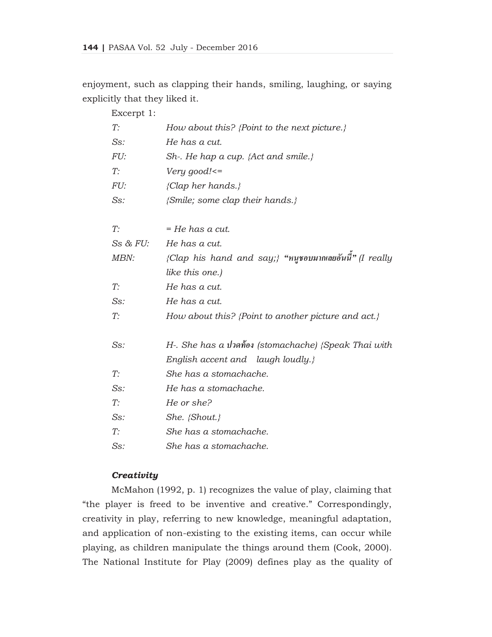enjoyment, such as clapping their hands, smiling, laughing, or saying explicitly that they liked it.

| Excerpt 1:   |                                                           |
|--------------|-----------------------------------------------------------|
| T:           | How about this? {Point to the next picture.}              |
| $Ss$ :       | He has a cut.                                             |
| FU:          | Sh-. He hap a cup. {Act and smile.}                       |
| T:           | Very good! $\leq$                                         |
| FU:          | ${Clap \ her \ hands.}$                                   |
| $Ss$ :       | {Smile; some clap their hands.}                           |
|              |                                                           |
| T:           | = He has a cut.                                           |
| $Ss$ & $FU:$ | He has a cut.                                             |
| MBN:         | {Clap his hand and say;} "หนูชอบมากเลยอันนี้" (I really   |
|              | like this one.)                                           |
| T:           | He has a cut.                                             |
| $Ss$ :       | He has a cut.                                             |
| T:           | How about this? {Point to another picture and act.}       |
|              |                                                           |
| Ss:          | H. She has a <i>i</i> Jano (stomachache) (Speak Thai with |
|              | English accent and laugh loudly.}                         |
| T:           | She has a stomachache.                                    |
| $Ss$ :       | He has a stomachache.                                     |
| T:           | He or she?                                                |
| $Ss$ :       | $She.$ {Shout.}                                           |
| T:           | She has a stomachache.                                    |
| $Ss$ :       | She has a stomachache.                                    |
|              |                                                           |

## *Creativity*

 McMahon (1992, p. 1) recognizes the value of play, claiming that "the player is freed to be inventive and creative." Correspondingly, creativity in play, referring to new knowledge, meaningful adaptation, and application of non-existing to the existing items, can occur while playing, as children manipulate the things around them (Cook, 2000). The National Institute for Play (2009) defines play as the quality of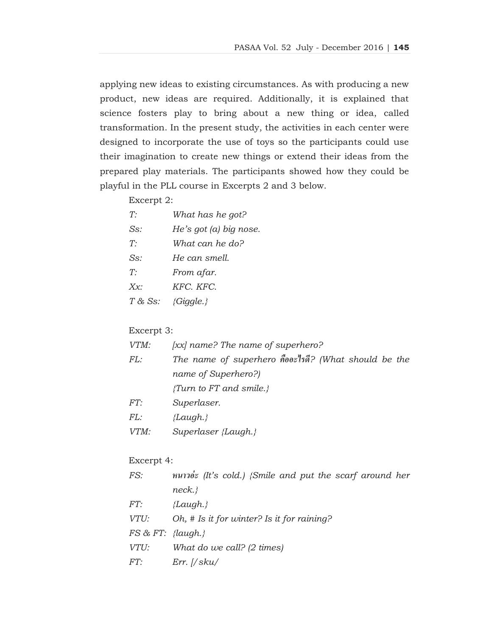applying new ideas to existing circumstances. As with producing a new product, new ideas are required. Additionally, it is explained that science fosters play to bring about a new thing or idea, called transformation. In the present study, the activities in each center were designed to incorporate the use of toys so the participants could use their imagination to create new things or extend their ideas from the prepared play materials. The participants showed how they could be playful in the PLL course in Excerpts 2 and 3 below.

#### Excerpt 2:

| What has he got?         |
|--------------------------|
| He's got $(a)$ big nose. |
| What can he do?          |
| He can smell.            |
| From afar.               |
| KFC. KFC.                |
| ${Gi}$ <i>agle.</i> }    |
|                          |

#### Excerpt 3:

| VTM: | $[xx]$ name? The name of superhero?                  |  |
|------|------------------------------------------------------|--|
| FL:  | The name of superhero คืออะไรดี? (What should be the |  |
|      | name of Superhero?)                                  |  |
|      | <i>{Turn to FT and smile.}</i>                       |  |
| FT:  | Superlaser.                                          |  |
| FL:  | {Laugh.}                                             |  |
|      |                                                      |  |

*VTM: Superlaser {Laugh.}* 

## Excerpt 4:

| FS:                  | หนาวอ่ะ (It's cold.) {Smile and put the scarf around her |
|----------------------|----------------------------------------------------------|
|                      | neck.                                                    |
| FT:                  | ${Laudh.}$                                               |
| VTU:                 | Oh, # Is it for winter? Is it for raining?               |
| $FS \& FT: \{la, \}$ |                                                          |
| VTU:                 | What do we call? $(2 \text{ times})$                     |
| FT:                  | $Err.$ $//$ sku/                                         |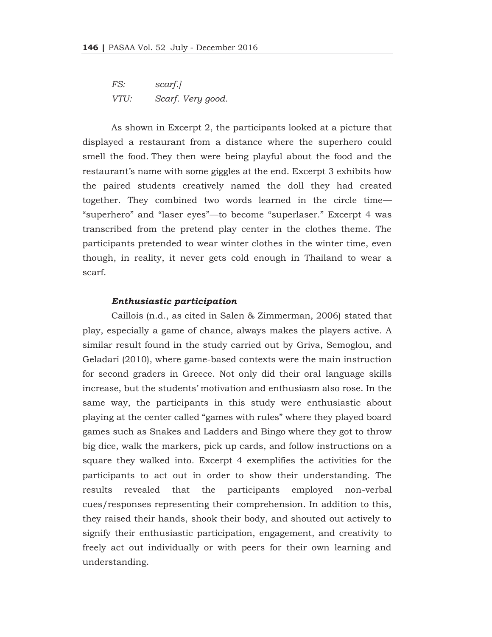*FS: scarf.] VTU: Scarf. Very good.* 

 As shown in Excerpt 2, the participants looked at a picture that displayed a restaurant from a distance where the superhero could smell the food. They then were being playful about the food and the restaurant's name with some giggles at the end. Excerpt 3 exhibits how the paired students creatively named the doll they had created together. They combined two words learned in the circle time— "superhero" and "laser eyes"—to become "superlaser." Excerpt 4 was transcribed from the pretend play center in the clothes theme. The participants pretended to wear winter clothes in the winter time, even though, in reality, it never gets cold enough in Thailand to wear a scarf.

#### *Enthusiastic participation*

 Caillois (n.d., as cited in Salen & Zimmerman, 2006) stated that play, especially a game of chance, always makes the players active. A similar result found in the study carried out by Griva, Semoglou, and Geladari (2010), where game-based contexts were the main instruction for second graders in Greece. Not only did their oral language skills increase, but the students' motivation and enthusiasm also rose. In the same way, the participants in this study were enthusiastic about playing at the center called "games with rules" where they played board games such as Snakes and Ladders and Bingo where they got to throw big dice, walk the markers, pick up cards, and follow instructions on a square they walked into. Excerpt 4 exemplifies the activities for the participants to act out in order to show their understanding. The results revealed that the participants employed non-verbal cues/responses representing their comprehension. In addition to this, they raised their hands, shook their body, and shouted out actively to signify their enthusiastic participation, engagement, and creativity to freely act out individually or with peers for their own learning and understanding.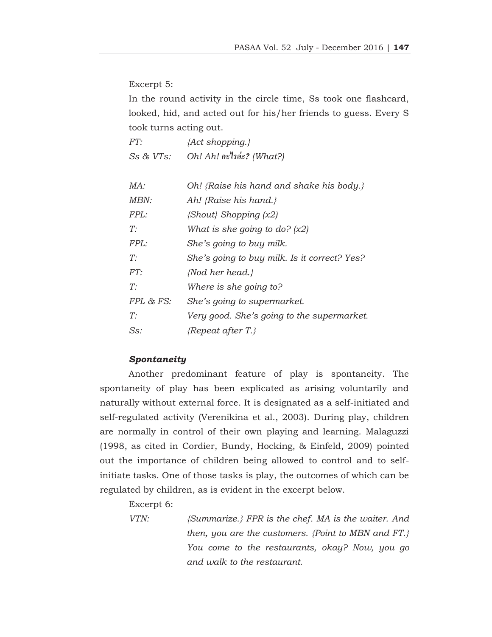Excerpt 5:

In the round activity in the circle time, Ss took one flashcard, looked, hid, and acted out for his/her friends to guess. Every S took turns acting out.

| FT:            | {Act shopping.}                        |
|----------------|----------------------------------------|
| $Ss$ & $VTs$ : | Oh! Ah! $e^2$ as $\frac{1}{2}$ (What?) |

| MA:         | Oh! {Raise his hand and shake his body.}     |
|-------------|----------------------------------------------|
| <i>MBN:</i> | Ah! {Raise his hand.}                        |
| FPL:        | $\{Show\}$ Shopping $(x2)$                   |
| $T^{\cdot}$ | What is she going to do? $(x2)$              |
| FPL:        | She's going to buy milk.                     |
| T:          | She's going to buy milk. Is it correct? Yes? |
| FT:         | {Nod her head.}                              |
| T:          | Where is she going to?                       |
| FPL & FS:   | She's going to supermarket.                  |
| T:          | Very good. She's going to the supermarket.   |
| Ss:         | $\{Repeat \ after \ T.\}$                    |

## *Spontaneity*

 Another predominant feature of play is spontaneity. The spontaneity of play has been explicated as arising voluntarily and naturally without external force. It is designated as a self-initiated and self-regulated activity (Verenikina et al., 2003). During play, children are normally in control of their own playing and learning. Malaguzzi (1998, as cited in Cordier, Bundy, Hocking, & Einfeld, 2009) pointed out the importance of children being allowed to control and to selfinitiate tasks. One of those tasks is play, the outcomes of which can be regulated by children, as is evident in the excerpt below.

Excerpt 6:

*VTN: {Summarize.} FPR is the chef. MA is the waiter. And then, you are the customers. {Point to MBN and FT.} You come to the restaurants, okay? Now, you go and walk to the restaurant.*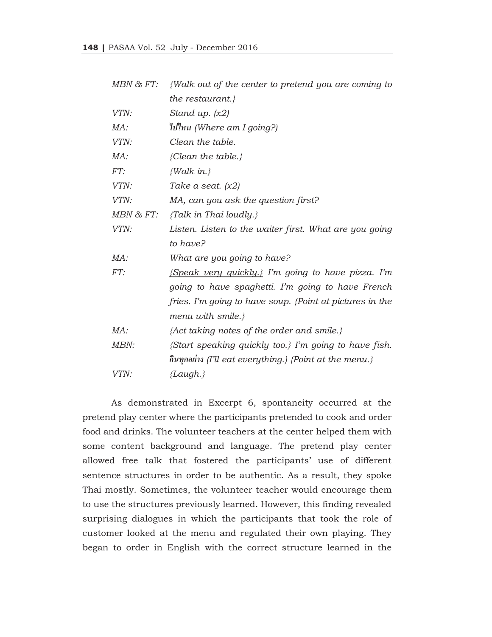| MBN & FT: | <i>{Walk out of the center to pretend you are coming to</i>     |
|-----------|-----------------------------------------------------------------|
|           | the restaurant.}                                                |
| VTN:      | Stand up. $(x2)$                                                |
| MA:       | $\mathcal{W}$ l $\mathcal{W}$ (Where am I going?)               |
| VTN:      | Clean the table.                                                |
| MA:       | {Clean the table.}                                              |
| FT:       | ${Walk in.}$                                                    |
| VTN:      | Take a seat. $(x2)$                                             |
| VTN:      | MA, can you ask the question first?                             |
| MBN & FT: | {Talk in Thai loudly.}                                          |
| VTN:      | Listen. Listen to the waiter first. What are you going          |
|           | to have?                                                        |
| MA:       | What are you going to have?                                     |
| FT:       | $\{Speak \; very \; quickly.\}$ I'm going to have pizza. I'm    |
|           | going to have spaghetti. I'm going to have French               |
|           | fries. I'm going to have soup. $\{Point at pictures in the$     |
|           | menu with smile.}                                               |
| MA:       | {Act taking notes of the order and smile.}                      |
| MBN:      | {Start speaking quickly too.} I'm going to have fish.           |
|           | $\hat{n}$ นทุกอย่าง (I'll eat everything.) {Point at the menu.} |
| VTN:      | {Laugh.}                                                        |

 As demonstrated in Excerpt 6, spontaneity occurred at the pretend play center where the participants pretended to cook and order food and drinks. The volunteer teachers at the center helped them with some content background and language. The pretend play center allowed free talk that fostered the participants' use of different sentence structures in order to be authentic. As a result, they spoke Thai mostly. Sometimes, the volunteer teacher would encourage them to use the structures previously learned. However, this finding revealed surprising dialogues in which the participants that took the role of customer looked at the menu and regulated their own playing. They began to order in English with the correct structure learned in the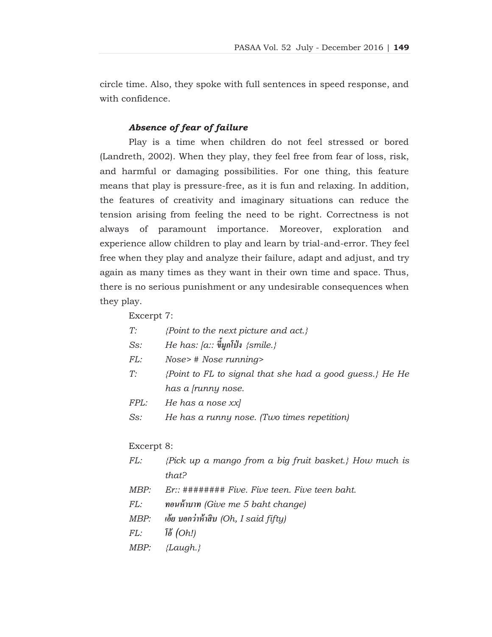circle time. Also, they spoke with full sentences in speed response, and with confidence.

## *Absence of fear of failure*

 Play is a time when children do not feel stressed or bored (Landreth, 2002). When they play, they feel free from fear of loss, risk, and harmful or damaging possibilities. For one thing, this feature means that play is pressure-free, as it is fun and relaxing. In addition, the features of creativity and imaginary situations can reduce the tension arising from feeling the need to be right. Correctness is not always of paramount importance. Moreover, exploration and experience allow children to play and learn by trial-and-error. They feel free when they play and analyze their failure, adapt and adjust, and try again as many times as they want in their own time and space. Thus, there is no serious punishment or any undesirable consequences when they play.

Excerpt 7:

| T: | {Point to the next picture and act.} |  |  |  |  |  |
|----|--------------------------------------|--|--|--|--|--|
|----|--------------------------------------|--|--|--|--|--|

- $S$ s: *He has: [a:: ขี้มูกโป่ง {smile.}*
- *FL: Nose> # Nose running>*
- *T: {Point to FL to signal that she had a good guess.} He He has a [runny nose.*
- *FPL: He has a nose xx]*
- *Ss: He has a runny nose. (Two times repetition)*

Excerpt 8:

| FL: | {Pick up a mango from a big fruit basket.} How much is |
|-----|--------------------------------------------------------|
|     | that?                                                  |

- *MBP: Er:: ######## Five. Five teen. Five teen baht.*
- *FL: ทอนห้าบาท (Give me 5 baht change)*
- *MBP: เอ้ย บอกว่าห้าสิบ (Oh, I said fifty)*
- *FL: โอ้(Oh!)*
- *MBP: {Laugh.}*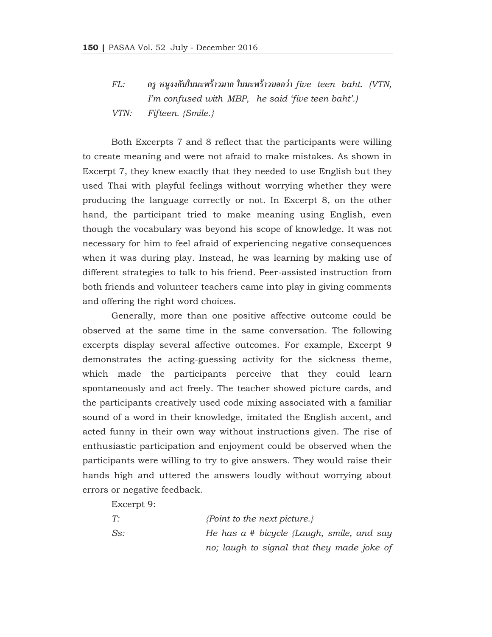*FL: ครูหนู งงกับใบมะพร้าวมาก ใบมะพร้าวบอกว่า five teen baht. (VTN, I'm confused with MBP, he said 'five teen baht'.) VTN: Fifteen. {Smile.}* 

 Both Excerpts 7 and 8 reflect that the participants were willing to create meaning and were not afraid to make mistakes. As shown in Excerpt 7, they knew exactly that they needed to use English but they used Thai with playful feelings without worrying whether they were producing the language correctly or not. In Excerpt 8, on the other hand, the participant tried to make meaning using English, even though the vocabulary was beyond his scope of knowledge. It was not necessary for him to feel afraid of experiencing negative consequences when it was during play. Instead, he was learning by making use of different strategies to talk to his friend. Peer-assisted instruction from both friends and volunteer teachers came into play in giving comments and offering the right word choices.

 Generally, more than one positive affective outcome could be observed at the same time in the same conversation. The following excerpts display several affective outcomes. For example, Excerpt 9 demonstrates the acting-guessing activity for the sickness theme, which made the participants perceive that they could learn spontaneously and act freely. The teacher showed picture cards, and the participants creatively used code mixing associated with a familiar sound of a word in their knowledge, imitated the English accent, and acted funny in their own way without instructions given. The rise of enthusiastic participation and enjoyment could be observed when the participants were willing to try to give answers. They would raise their hands high and uttered the answers loudly without worrying about errors or negative feedback.

Excerpt 9:

| T:  | $\{Point\ to\ the\ next\ picture.\}$         |
|-----|----------------------------------------------|
| Ss: | He has $a \#$ bicycle {Laugh, smile, and say |
|     | no; laugh to signal that they made joke of   |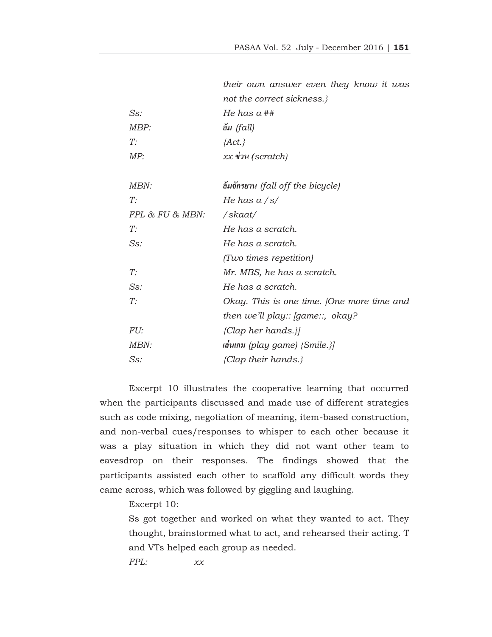|                 | their own answer even they know it was     |
|-----------------|--------------------------------------------|
|                 | not the correct sickness.}                 |
| $Ss$ :          | He has $a$ ##                              |
| MBP:            | ล้ม $(fall)$                               |
| T:              | $\{Act.\}$                                 |
| MP:             | $xx$ $\dot{v}$ au (scratch)                |
|                 |                                            |
| MBN:            | ด้มจักรยาน (fall off the bicycle)          |
| T:              | He has a $\sqrt{s}$                        |
| FPL & FU & MBN: | /skaat/                                    |
| T:              | He has a scratch.                          |
| $Ss$ :          | He has a scratch.                          |
|                 | (Two times repetition)                     |
| T:              | Mr. MBS, he has a scratch.                 |
| $Ss$ :          | He has a scratch.                          |
| T:              | Okay. This is one time. [One more time and |
|                 | then we'll play:: [game::, $okay$ ?]       |
| <i>FU:</i>      | ${Clap \ her \ hands. }$                   |
| MBN:            | $\mu$ a $\mu$ (play game) {Smile.}         |
| $Ss$ :          | {Clap their hands.}                        |

Excerpt 10 illustrates the cooperative learning that occurred when the participants discussed and made use of different strategies such as code mixing, negotiation of meaning, item-based construction, and non-verbal cues/responses to whisper to each other because it was a play situation in which they did not want other team to eavesdrop on their responses. The findings showed that the participants assisted each other to scaffold any difficult words they came across, which was followed by giggling and laughing.

Excerpt 10:

Ss got together and worked on what they wanted to act. They thought, brainstormed what to act, and rehearsed their acting. T and VTs helped each group as needed.

*FPL: xx*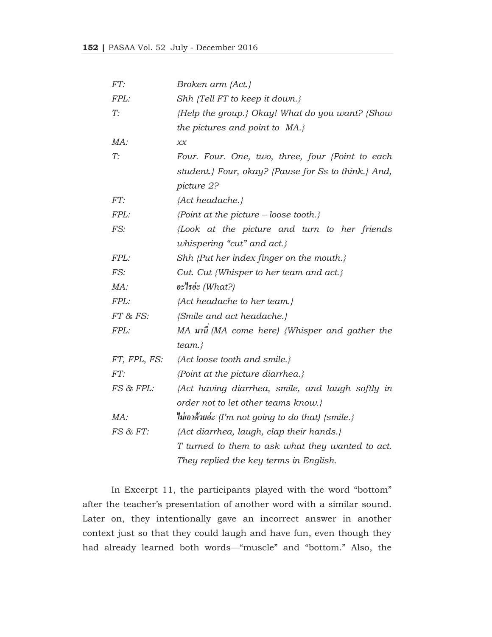| FT:          | Broken arm $\{Act.\}$                                 |
|--------------|-------------------------------------------------------|
| FPL:         | Shh {Tell FT to keep it down.}                        |
| T:           | ${Help}$ the group.} Okay! What do you want? ${Show}$ |
|              | the pictures and point to $MA.$ }                     |
| MA:          | x x                                                   |
| T:           | Four. Four. One, two, three, four {Point to each      |
|              | student.} Four, okay? {Pause for Ss to think.} And,   |
|              | picture 2?                                            |
| FT:          | {Act headache.}                                       |
| FPL:         | {Point at the picture – loose tooth.}                 |
| FS:          | Look at the picture and turn to her friends           |
|              | whispering "cut" and act.}                            |
| FPL:         | Shh {Put her index finger on the mouth.}              |
| FS:          | Cut. Cut {Whisper to her team and act.}               |
| MA:          | $e^*$ os $(What?)$                                    |
| FPL:         | {Act headache to her team.}                           |
| FT & FS:     | {Smile and act headache.}                             |
| FPL:         | MA มานี (MA come here) {Whisper and gather the        |
|              | $team.$ }                                             |
| FT, FPL, FS: | {Act loose tooth and smile.}                          |
| FT:          | $\{Point at the picture diarchea.\}$                  |
| FS & FPL:    | {Act having diarrhea, smile, and laugh softly in      |
|              | order not to let other teams know.}                   |
| MA:          | ไม่เอาด้วยอ่ะ (I'm not going to do that) $\{smile.\}$ |
| FS & FT:     | {Act diarrhea, laugh, clap their hands.}              |
|              | T turned to them to ask what they wanted to act.      |
|              | They replied the key terms in English.                |

 In Excerpt 11, the participants played with the word "bottom" after the teacher's presentation of another word with a similar sound. Later on, they intentionally gave an incorrect answer in another context just so that they could laugh and have fun, even though they had already learned both words—"muscle" and "bottom." Also, the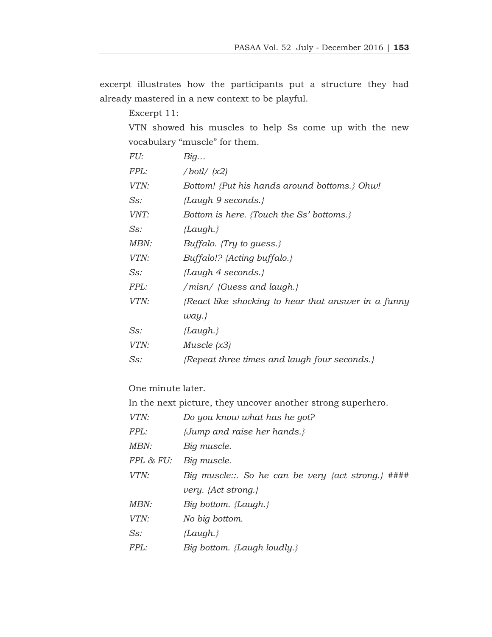excerpt illustrates how the participants put a structure they had already mastered in a new context to be playful.

Excerpt 11:

VTN showed his muscles to help Ss come up with the new vocabulary "muscle" for them.

| FU:  | Big                                                |
|------|----------------------------------------------------|
| FPL: | /botl/(x2)                                         |
| VTN: | Bottom! {Put his hands around bottoms.} Ohw!       |
| Ss:  | {Laugh 9 seconds.}                                 |
| VNT: | Bottom is here. {Touch the Ss' bottoms.}           |
| Ss:  | ${Laudh.}$                                         |
| MBN: | Buffalo. $\{Try\ to\ guess.\}$                     |
| VTN: | $Buffer@!? \{Acting\ buffer@!.\}$                  |
| Ss:  | ${Langh 4 seconds.}$                               |
| FPL: | /misn/ {Guess and laugh.}                          |
| VTN: | React like shocking to hear that answer in a funny |
|      | way.                                               |
| Ss:  | ${Zaugh.}$                                         |
| VTN: | <i>Muscle</i> $(x3)$                               |
| Ss:  | ${Repeated}$ three times and laugh four seconds.}  |
|      |                                                    |

One minute later.

In the next picture, they uncover another strong superhero.

| VTN:        | Do you know what has he got?                       |
|-------------|----------------------------------------------------|
| <i>FPL:</i> | { <i>Jump and raise her hands.</i> }               |
| MBN:        | Big muscle.                                        |
| FPL & FU:   | Big muscle.                                        |
| VTN:        | Big muscle::. So he can be very {act strong.} #### |
|             | very. $\{Act\,strong.\}$                           |
| MBN:        | Big bottom. {Laugh.}                               |
| VTN:        | No big bottom.                                     |
| $Ss$ :      | ${Laudh.}$                                         |
| <i>FPL:</i> | Big bottom. {Laugh loudly.}                        |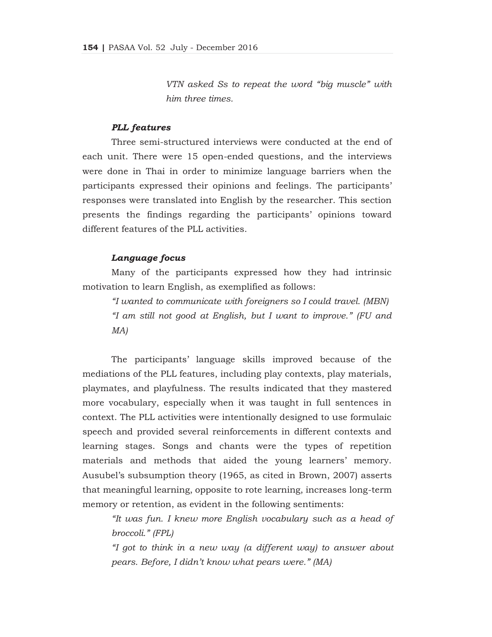*VTN asked Ss to repeat the word "big muscle" with him three times.* 

## *PLL features*

 Three semi-structured interviews were conducted at the end of each unit. There were 15 open-ended questions, and the interviews were done in Thai in order to minimize language barriers when the participants expressed their opinions and feelings. The participants' responses were translated into English by the researcher. This section presents the findings regarding the participants' opinions toward different features of the PLL activities.

## *Language focus*

 Many of the participants expressed how they had intrinsic motivation to learn English, as exemplified as follows:

 *"I wanted to communicate with foreigners so I could travel. (MBN) "I am still not good at English, but I want to improve." (FU and MA)* 

 The participants' language skills improved because of the mediations of the PLL features, including play contexts, play materials, playmates, and playfulness. The results indicated that they mastered more vocabulary, especially when it was taught in full sentences in context. The PLL activities were intentionally designed to use formulaic speech and provided several reinforcements in different contexts and learning stages. Songs and chants were the types of repetition materials and methods that aided the young learners' memory. Ausubel's subsumption theory (1965, as cited in Brown, 2007) asserts that meaningful learning, opposite to rote learning, increases long-term memory or retention, as evident in the following sentiments:

*"It was fun. I knew more English vocabulary such as a head of broccoli." (FPL)* 

*"I got to think in a new way (a different way) to answer about pears. Before, I didn't know what pears were." (MA)*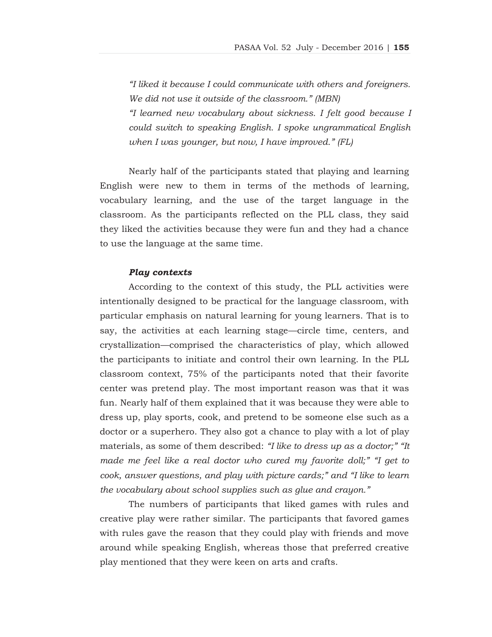*"I liked it because I could communicate with others and foreigners. We did not use it outside of the classroom." (MBN) "I learned new vocabulary about sickness. I felt good because I could switch to speaking English. I spoke ungrammatical English when I was younger, but now, I have improved." (FL)*

 Nearly half of the participants stated that playing and learning English were new to them in terms of the methods of learning, vocabulary learning, and the use of the target language in the classroom. As the participants reflected on the PLL class, they said they liked the activities because they were fun and they had a chance to use the language at the same time.

#### *Play contexts*

 According to the context of this study, the PLL activities were intentionally designed to be practical for the language classroom, with particular emphasis on natural learning for young learners. That is to say, the activities at each learning stage—circle time, centers, and crystallization—comprised the characteristics of play, which allowed the participants to initiate and control their own learning. In the PLL classroom context, 75% of the participants noted that their favorite center was pretend play. The most important reason was that it was fun. Nearly half of them explained that it was because they were able to dress up, play sports, cook, and pretend to be someone else such as a doctor or a superhero. They also got a chance to play with a lot of play materials, as some of them described: *"I like to dress up as a doctor;" "It made me feel like a real doctor who cured my favorite doll;" "I get to cook, answer questions, and play with picture cards;" and "I like to learn the vocabulary about school supplies such as glue and crayon."*

 The numbers of participants that liked games with rules and creative play were rather similar. The participants that favored games with rules gave the reason that they could play with friends and move around while speaking English, whereas those that preferred creative play mentioned that they were keen on arts and crafts.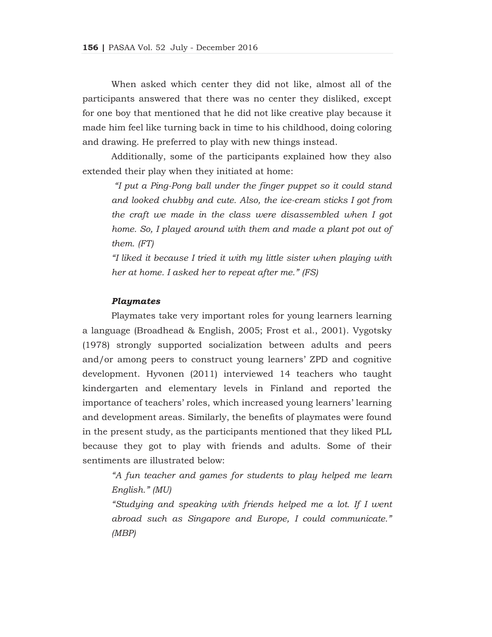When asked which center they did not like, almost all of the participants answered that there was no center they disliked, except for one boy that mentioned that he did not like creative play because it made him feel like turning back in time to his childhood, doing coloring and drawing. He preferred to play with new things instead.

 Additionally, some of the participants explained how they also extended their play when they initiated at home:

*"I put a Ping-Pong ball under the finger puppet so it could stand and looked chubby and cute. Also, the ice-cream sticks I got from the craft we made in the class were disassembled when I got home.* So, I played around with them and made a plant pot out of *them. (FT)*

*"I liked it because I tried it with my little sister when playing with her at home. I asked her to repeat after me." (FS)*

#### *Playmates*

 Playmates take very important roles for young learners learning a language (Broadhead & English, 2005; Frost et al., 2001). Vygotsky (1978) strongly supported socialization between adults and peers and/or among peers to construct young learners' ZPD and cognitive development. Hyvonen (2011) interviewed 14 teachers who taught kindergarten and elementary levels in Finland and reported the importance of teachers' roles, which increased young learners' learning and development areas. Similarly, the benefits of playmates were found in the present study, as the participants mentioned that they liked PLL because they got to play with friends and adults. Some of their sentiments are illustrated below:

*"A fun teacher and games for students to play helped me learn English." (MU)*

 *"Studying and speaking with friends helped me a lot. If I went abroad such as Singapore and Europe, I could communicate." (MBP)*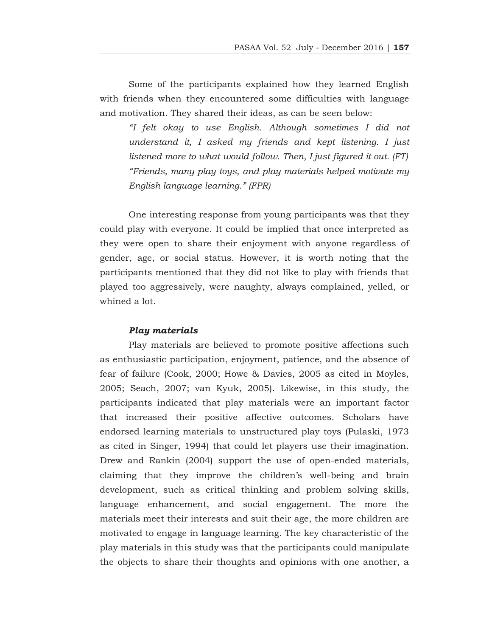Some of the participants explained how they learned English with friends when they encountered some difficulties with language and motivation. They shared their ideas, as can be seen below:

*"I felt okay to use English. Although sometimes I did not understand it, I asked my friends and kept listening. I just listened more to what would follow. Then, I just figured it out. (FT) "Friends, many play toys, and play materials helped motivate my English language learning." (FPR)*

 One interesting response from young participants was that they could play with everyone. It could be implied that once interpreted as they were open to share their enjoyment with anyone regardless of gender, age, or social status. However, it is worth noting that the participants mentioned that they did not like to play with friends that played too aggressively, were naughty, always complained, yelled, or whined a lot.

#### *Play materials*

 Play materials are believed to promote positive affections such as enthusiastic participation, enjoyment, patience, and the absence of fear of failure (Cook, 2000; Howe & Davies, 2005 as cited in Moyles, 2005; Seach, 2007; van Kyuk, 2005). Likewise, in this study, the participants indicated that play materials were an important factor that increased their positive affective outcomes. Scholars have endorsed learning materials to unstructured play toys (Pulaski, 1973 as cited in Singer, 1994) that could let players use their imagination. Drew and Rankin (2004) support the use of open-ended materials, claiming that they improve the children's well-being and brain development, such as critical thinking and problem solving skills, language enhancement, and social engagement. The more the materials meet their interests and suit their age, the more children are motivated to engage in language learning. The key characteristic of the play materials in this study was that the participants could manipulate the objects to share their thoughts and opinions with one another, a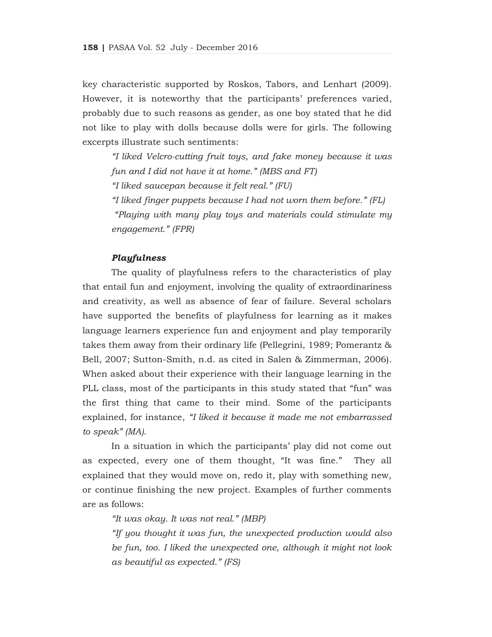key characteristic supported by Roskos, Tabors, and Lenhart (2009). However, it is noteworthy that the participants' preferences varied, probably due to such reasons as gender, as one boy stated that he did not like to play with dolls because dolls were for girls. The following excerpts illustrate such sentiments:

*"I liked Velcro-cutting fruit toys, and fake money because it was fun and I did not have it at home." (MBS and FT) "I liked saucepan because it felt real." (FU) "I liked finger puppets because I had not worn them before." (FL) "Playing with many play toys and materials could stimulate my engagement." (FPR)* 

#### *Playfulness*

 The quality of playfulness refers to the characteristics of play that entail fun and enjoyment, involving the quality of extraordinariness and creativity, as well as absence of fear of failure. Several scholars have supported the benefits of playfulness for learning as it makes language learners experience fun and enjoyment and play temporarily takes them away from their ordinary life (Pellegrini, 1989; Pomerantz & Bell, 2007; Sutton-Smith, n.d. as cited in Salen & Zimmerman, 2006). When asked about their experience with their language learning in the PLL class, most of the participants in this study stated that "fun" was the first thing that came to their mind. Some of the participants explained, for instance, *"I liked it because it made me not embarrassed to speak" (MA).* 

 In a situation in which the participants' play did not come out as expected, every one of them thought, "It was fine." They all explained that they would move on, redo it, play with something new, or continue finishing the new project. Examples of further comments are as follows:

*"It was okay. It was not real." (MBP)* 

*"If you thought it was fun, the unexpected production would also be fun, too. I liked the unexpected one, although it might not look as beautiful as expected." (FS)*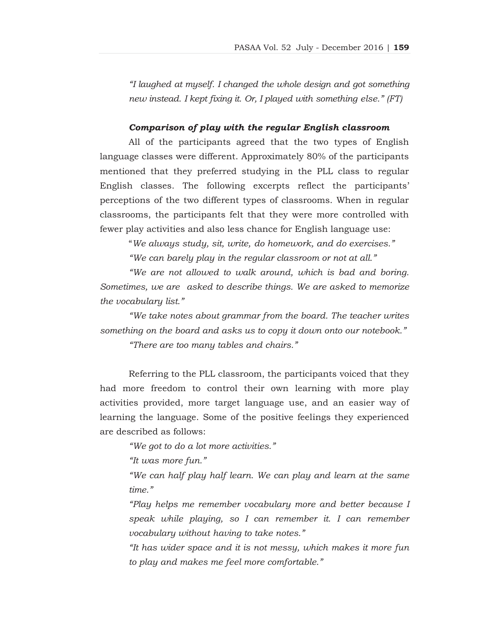*"I laughed at myself. I changed the whole design and got something new instead. I kept fixing it. Or, I played with something else." (FT)*

## *Comparison of play with the regular English classroom*

 All of the participants agreed that the two types of English language classes were different. Approximately 80% of the participants mentioned that they preferred studying in the PLL class to regular English classes. The following excerpts reflect the participants' perceptions of the two different types of classrooms. When in regular classrooms, the participants felt that they were more controlled with fewer play activities and also less chance for English language use:

"*We always study, sit, write, do homework, and do exercises."* 

 *"We can barely play in the regular classroom or not at all."* 

 *"We are not allowed to walk around, which is bad and boring. Sometimes, we are asked to describe things. We are asked to memorize the vocabulary list."* 

 *"We take notes about grammar from the board. The teacher writes something on the board and asks us to copy it down onto our notebook." "There are too many tables and chairs."* 

Referring to the PLL classroom, the participants voiced that they had more freedom to control their own learning with more play activities provided, more target language use, and an easier way of learning the language. Some of the positive feelings they experienced are described as follows:

*"We got to do a lot more activities."* 

*"It was more fun."* 

*"We can half play half learn. We can play and learn at the same time."* 

*"Play helps me remember vocabulary more and better because I speak while playing, so I can remember it. I can remember vocabulary without having to take notes."* 

*"It has wider space and it is not messy, which makes it more fun to play and makes me feel more comfortable."*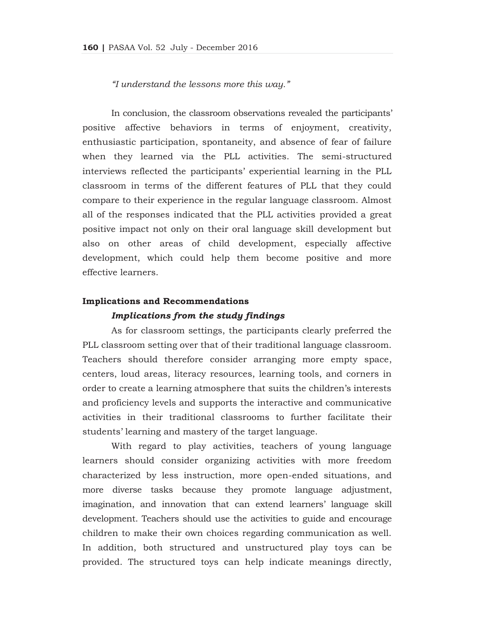*"I understand the lessons more this way."* 

 In conclusion, the classroom observations revealed the participants' positive affective behaviors in terms of enjoyment, creativity, enthusiastic participation, spontaneity, and absence of fear of failure when they learned via the PLL activities. The semi-structured interviews reflected the participants' experiential learning in the PLL classroom in terms of the different features of PLL that they could compare to their experience in the regular language classroom. Almost all of the responses indicated that the PLL activities provided a great positive impact not only on their oral language skill development but also on other areas of child development, especially affective development, which could help them become positive and more effective learners.

#### **Implications and Recommendations**

## *Implications from the study findings*

 As for classroom settings, the participants clearly preferred the PLL classroom setting over that of their traditional language classroom. Teachers should therefore consider arranging more empty space, centers, loud areas, literacy resources, learning tools, and corners in order to create a learning atmosphere that suits the children's interests and proficiency levels and supports the interactive and communicative activities in their traditional classrooms to further facilitate their students' learning and mastery of the target language.

 With regard to play activities, teachers of young language learners should consider organizing activities with more freedom characterized by less instruction, more open-ended situations, and more diverse tasks because they promote language adjustment, imagination, and innovation that can extend learners' language skill development. Teachers should use the activities to guide and encourage children to make their own choices regarding communication as well. In addition, both structured and unstructured play toys can be provided. The structured toys can help indicate meanings directly,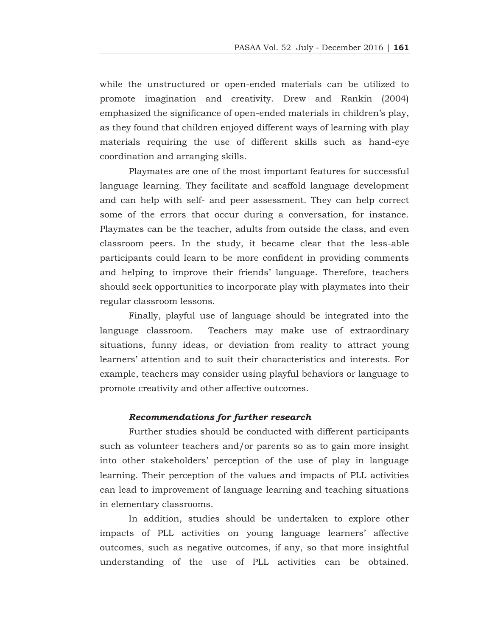while the unstructured or open-ended materials can be utilized to promote imagination and creativity. Drew and Rankin (2004) emphasized the significance of open-ended materials in children's play, as they found that children enjoyed different ways of learning with play materials requiring the use of different skills such as hand-eye coordination and arranging skills.

 Playmates are one of the most important features for successful language learning. They facilitate and scaffold language development and can help with self- and peer assessment. They can help correct some of the errors that occur during a conversation, for instance. Playmates can be the teacher, adults from outside the class, and even classroom peers. In the study, it became clear that the less-able participants could learn to be more confident in providing comments and helping to improve their friends' language. Therefore, teachers should seek opportunities to incorporate play with playmates into their regular classroom lessons.

 Finally, playful use of language should be integrated into the language classroom. Teachers may make use of extraordinary situations, funny ideas, or deviation from reality to attract young learners' attention and to suit their characteristics and interests. For example, teachers may consider using playful behaviors or language to promote creativity and other affective outcomes.

## *Recommendations for further research*

 Further studies should be conducted with different participants such as volunteer teachers and/or parents so as to gain more insight into other stakeholders' perception of the use of play in language learning. Their perception of the values and impacts of PLL activities can lead to improvement of language learning and teaching situations in elementary classrooms.

 In addition, studies should be undertaken to explore other impacts of PLL activities on young language learners' affective outcomes, such as negative outcomes, if any, so that more insightful understanding of the use of PLL activities can be obtained.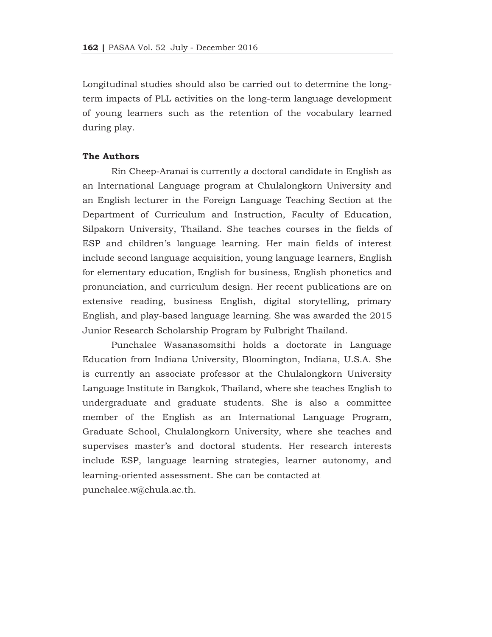Longitudinal studies should also be carried out to determine the longterm impacts of PLL activities on the long-term language development of young learners such as the retention of the vocabulary learned during play.

## **The Authors**

Rin Cheep-Aranai is currently a doctoral candidate in English as an International Language program at Chulalongkorn University and an English lecturer in the Foreign Language Teaching Section at the Department of Curriculum and Instruction, Faculty of Education, Silpakorn University, Thailand. She teaches courses in the fields of ESP and children's language learning. Her main fields of interest include second language acquisition, young language learners, English for elementary education, English for business, English phonetics and pronunciation, and curriculum design. Her recent publications are on extensive reading, business English, digital storytelling, primary English, and play-based language learning. She was awarded the 2015 Junior Research Scholarship Program by Fulbright Thailand.

Punchalee Wasanasomsithi holds a doctorate in Language Education from Indiana University, Bloomington, Indiana, U.S.A. She is currently an associate professor at the Chulalongkorn University Language Institute in Bangkok, Thailand, where she teaches English to undergraduate and graduate students. She is also a committee member of the English as an International Language Program, Graduate School, Chulalongkorn University, where she teaches and supervises master's and doctoral students. Her research interests include ESP, language learning strategies, learner autonomy, and learning-oriented assessment. She can be contacted at punchalee.w@chula.ac.th.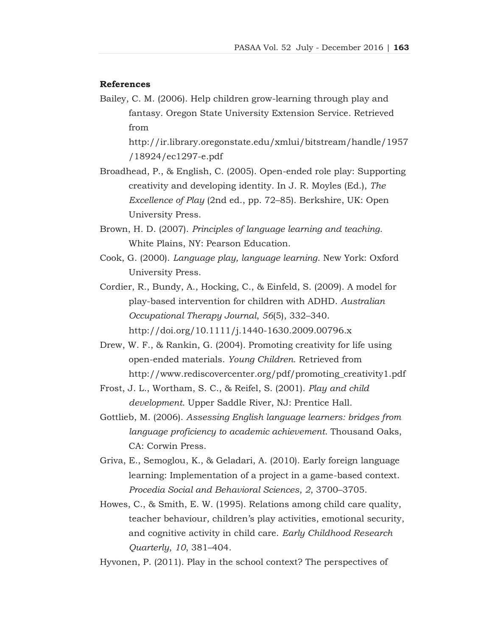#### **References**

Bailey, C. M. (2006). Help children grow-learning through play and fantasy. Oregon State University Extension Service. Retrieved from

http://ir.library.oregonstate.edu/xmlui/bitstream/handle/1957 /18924/ec1297-e.pdf

- Broadhead, P., & English, C. (2005). Open-ended role play: Supporting creativity and developing identity. In J. R. Moyles (Ed.), *The Excellence of Play* (2nd ed., pp. 72–85). Berkshire, UK: Open University Press.
- Brown, H. D. (2007). *Principles of language learning and teaching*. White Plains, NY: Pearson Education.
- Cook, G. (2000). *Language play, language learning*. New York: Oxford University Press.
- Cordier, R., Bundy, A., Hocking, C., & Einfeld, S. (2009). A model for play-based intervention for children with ADHD. *Australian Occupational Therapy Journal*, *56*(5), 332–340. http://doi.org/10.1111/j.1440-1630.2009.00796.x
- Drew, W. F., & Rankin, G. (2004). Promoting creativity for life using open-ended materials. *Young Children*. Retrieved from http://www.rediscovercenter.org/pdf/promoting\_creativity1.pdf
- Frost, J. L., Wortham, S. C., & Reifel, S. (2001). *Play and child development*. Upper Saddle River, NJ: Prentice Hall.
- Gottlieb, M. (2006). *Assessing English language learners: bridges from language proficiency to academic achievement*. Thousand Oaks, CA: Corwin Press.
- Griva, E., Semoglou, K., & Geladari, A. (2010). Early foreign language learning: Implementation of a project in a game-based context. *Procedia Social and Behavioral Sciences*, *2*, 3700–3705.
- Howes, C., & Smith, E. W. (1995). Relations among child care quality, teacher behaviour, children's play activities, emotional security, and cognitive activity in child care. *Early Childhood Research Quarterly*, *10*, 381–404.
- Hyvonen, P. (2011). Play in the school context? The perspectives of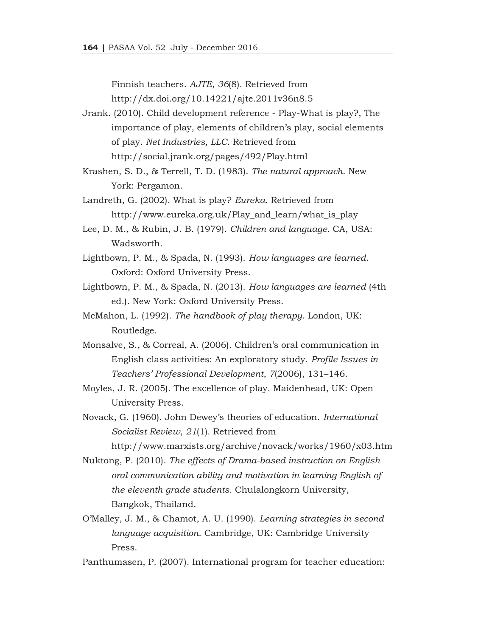Finnish teachers. *AJTE*, *36*(8). Retrieved from

http://dx.doi.org/10.14221/ajte.2011v36n8.5

- Jrank. (2010). Child development reference Play-What is play?, The importance of play, elements of children's play, social elements of play. *Net Industries, LLC*. Retrieved from http://social.jrank.org/pages/492/Play.html
- Krashen, S. D., & Terrell, T. D. (1983). *The natural approach*. New York: Pergamon.
- Landreth, G. (2002). What is play? *Eureka*. Retrieved from http://www.eureka.org.uk/Play\_and\_learn/what\_is\_play
- Lee, D. M., & Rubin, J. B. (1979). *Children and language*. CA, USA: Wadsworth.
- Lightbown, P. M., & Spada, N. (1993). *How languages are learned*. Oxford: Oxford University Press.
- Lightbown, P. M., & Spada, N. (2013). *How languages are learned* (4th ed.). New York: Oxford University Press.
- McMahon, L. (1992). *The handbook of play therapy*. London, UK: Routledge.
- Monsalve, S., & Correal, A. (2006). Children's oral communication in English class activities: An exploratory study. *Profile Issues in Teachers' Professional Development*, *7*(2006), 131–146.
- Moyles, J. R. (2005). The excellence of play. Maidenhead, UK: Open University Press.
- Novack, G. (1960). John Dewey's theories of education. *International Socialist Review*, *21*(1). Retrieved from

http://www.marxists.org/archive/novack/works/1960/x03.htm

- Nuktong, P. (2010). *The effects of Drama-based instruction on English oral communication ability and motivation in learning English of the eleventh grade students*. Chulalongkorn University, Bangkok, Thailand.
- O'Malley, J. M., & Chamot, A. U. (1990). *Learning strategies in second language acquisition*. Cambridge, UK: Cambridge University Press.
- Panthumasen, P. (2007). International program for teacher education: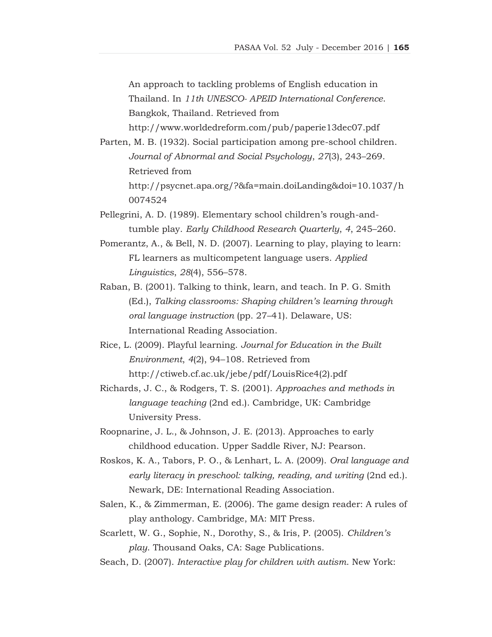An approach to tackling problems of English education in Thailand. In *11th UNESCO- APEID International Conference*. Bangkok, Thailand. Retrieved from

http://www.worldedreform.com/pub/paperie13dec07.pdf

- Parten, M. B. (1932). Social participation among pre-school children. *Journal of Abnormal and Social Psychology*, *27*(3), 243–269. Retrieved from http://psycnet.apa.org/?&fa=main.doiLanding&doi=10.1037/h 0074524
- Pellegrini, A. D. (1989). Elementary school children's rough-andtumble play. *Early Childhood Research Quarterly*, *4*, 245–260.
- Pomerantz, A., & Bell, N. D. (2007). Learning to play, playing to learn: FL learners as multicompetent language users. *Applied Linguistics*, *28*(4), 556–578.
- Raban, B. (2001). Talking to think, learn, and teach. In P. G. Smith (Ed.), *Talking classrooms: Shaping children's learning through oral language instruction* (pp. 27–41). Delaware, US: International Reading Association.
- Rice, L. (2009). Playful learning. *Journal for Education in the Built Environment*, *4*(2), 94–108. Retrieved from http://ctiweb.cf.ac.uk/jebe/pdf/LouisRice4(2).pdf
- Richards, J. C., & Rodgers, T. S. (2001). *Approaches and methods in language teaching* (2nd ed.). Cambridge, UK: Cambridge University Press.
- Roopnarine, J. L., & Johnson, J. E. (2013). Approaches to early childhood education. Upper Saddle River, NJ: Pearson.
- Roskos, K. A., Tabors, P. O., & Lenhart, L. A. (2009). *Oral language and early literacy in preschool: talking, reading, and writing* (2nd ed.). Newark, DE: International Reading Association.
- Salen, K., & Zimmerman, E. (2006). The game design reader: A rules of play anthology. Cambridge, MA: MIT Press.
- Scarlett, W. G., Sophie, N., Dorothy, S., & Iris, P. (2005). *Children's play*. Thousand Oaks, CA: Sage Publications.
- Seach, D. (2007). *Interactive play for children with autism*. New York: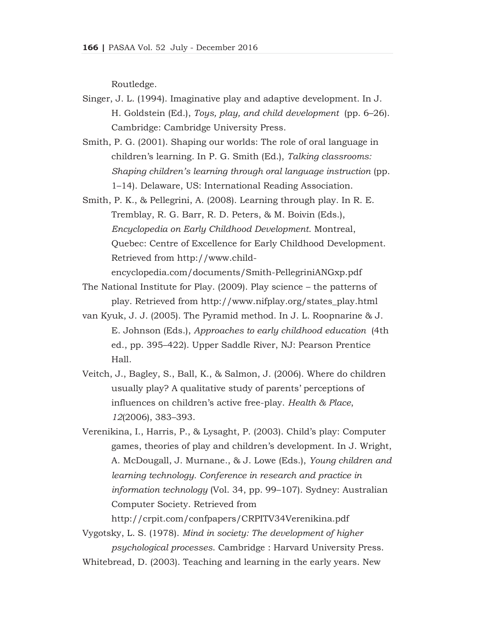Routledge.

- Singer, J. L. (1994). Imaginative play and adaptive development. In J. H. Goldstein (Ed.), *Toys, play, and child development* (pp. 6–26). Cambridge: Cambridge University Press.
- Smith, P. G. (2001). Shaping our worlds: The role of oral language in children's learning. In P. G. Smith (Ed.), *Talking classrooms: Shaping children's learning through oral language instruction* (pp. 1–14). Delaware, US: International Reading Association.
- Smith, P. K., & Pellegrini, A. (2008). Learning through play. In R. E. Tremblay, R. G. Barr, R. D. Peters, & M. Boivin (Eds.), *Encyclopedia on Early Childhood Development*. Montreal, Quebec: Centre of Excellence for Early Childhood Development. Retrieved from http://www.childencyclopedia.com/documents/Smith-PellegriniANGxp.pdf
- The National Institute for Play. (2009). Play science the patterns of
	- play. Retrieved from http://www.nifplay.org/states\_play.html
- van Kyuk, J. J. (2005). The Pyramid method. In J. L. Roopnarine & J. E. Johnson (Eds.), *Approaches to early childhood education* (4th ed., pp. 395–422). Upper Saddle River, NJ: Pearson Prentice Hall.
- Veitch, J., Bagley, S., Ball, K., & Salmon, J. (2006). Where do children usually play? A qualitative study of parents' perceptions of influences on children's active free-play. *Health & Place*, *12*(2006), 383–393.
- Verenikina, I., Harris, P., & Lysaght, P. (2003). Child's play: Computer games, theories of play and children's development. In J. Wright, A. McDougall, J. Murnane., & J. Lowe (Eds.), *Young children and learning technology. Conference in research and practice in information technology* (Vol. 34, pp. 99–107). Sydney: Australian Computer Society. Retrieved from

http://crpit.com/confpapers/CRPITV34Verenikina.pdf

Vygotsky, L. S. (1978). *Mind in society: The development of higher psychological processes*. Cambridge : Harvard University Press.

Whitebread, D. (2003). Teaching and learning in the early years. New